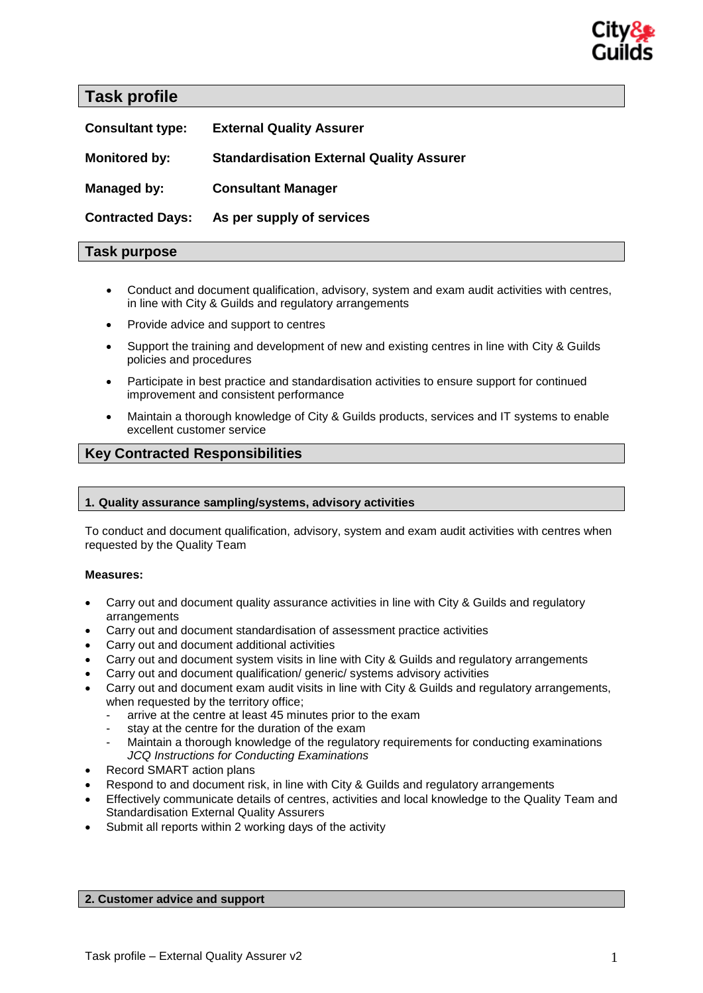

**Task profile** 

| <b>Consultant type:</b> | <b>External Quality Assurer</b>                 |
|-------------------------|-------------------------------------------------|
| <b>Monitored by:</b>    | <b>Standardisation External Quality Assurer</b> |
| Managed by:             | <b>Consultant Manager</b>                       |
| <b>Contracted Days:</b> | As per supply of services                       |

# **Task purpose**

- Conduct and document qualification, advisory, system and exam audit activities with centres, in line with City & Guilds and regulatory arrangements
- Provide advice and support to centres
- Support the training and development of new and existing centres in line with City & Guilds policies and procedures
- Participate in best practice and standardisation activities to ensure support for continued improvement and consistent performance
- Maintain a thorough knowledge of City & Guilds products, services and IT systems to enable excellent customer service

# **Key Contracted Responsibilities**

# **1. Quality assurance sampling/systems, advisory activities**

To conduct and document qualification, advisory, system and exam audit activities with centres when requested by the Quality Team

### **Measures:**

- Carry out and document quality assurance activities in line with City & Guilds and regulatory arrangements
- Carry out and document standardisation of assessment practice activities
- Carry out and document additional activities
- Carry out and document system visits in line with City & Guilds and regulatory arrangements
- Carry out and document qualification/ generic/ systems advisory activities
- Carry out and document exam audit visits in line with City & Guilds and regulatory arrangements, when requested by the territory office;
	- arrive at the centre at least 45 minutes prior to the exam
	- stay at the centre for the duration of the exam
	- Maintain a thorough knowledge of the regulatory requirements for conducting examinations *JCQ Instructions for Conducting Examinations*
- Record SMART action plans
- Respond to and document risk, in line with City & Guilds and regulatory arrangements
- Effectively communicate details of centres, activities and local knowledge to the Quality Team and Standardisation External Quality Assurers
- Submit all reports within 2 working days of the activity

### **2. Customer advice and support**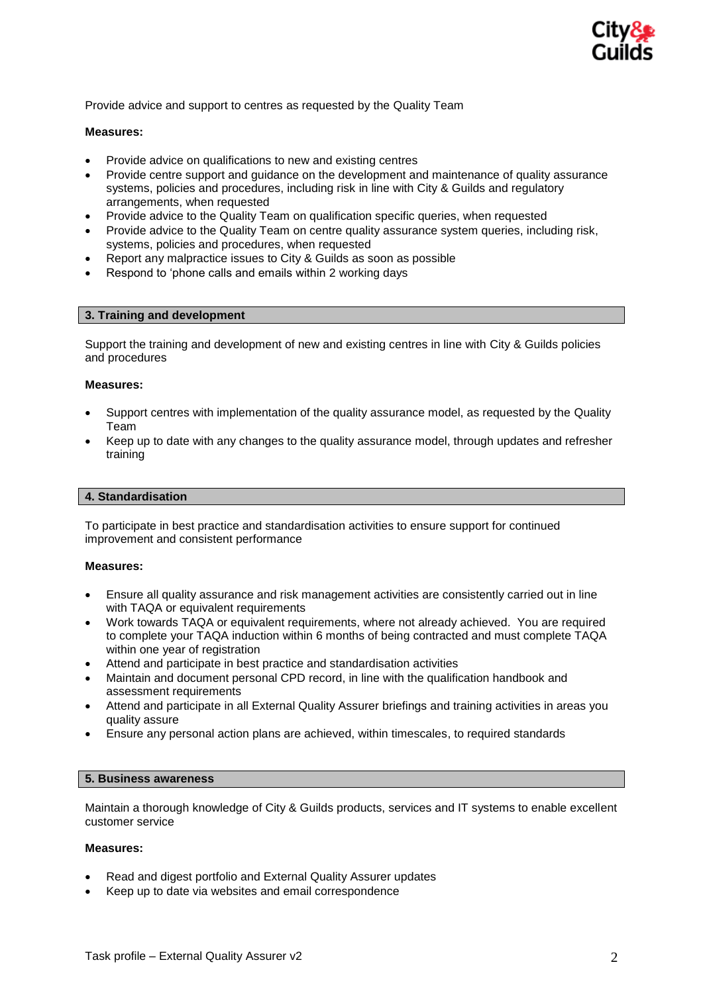

Provide advice and support to centres as requested by the Quality Team

## **Measures:**

- Provide advice on qualifications to new and existing centres
- Provide centre support and guidance on the development and maintenance of quality assurance systems, policies and procedures, including risk in line with City & Guilds and regulatory arrangements, when requested
- Provide advice to the Quality Team on qualification specific queries, when requested
- Provide advice to the Quality Team on centre quality assurance system queries, including risk, systems, policies and procedures, when requested
- Report any malpractice issues to City & Guilds as soon as possible
- Respond to 'phone calls and emails within 2 working days

### **3. Training and development**

Support the training and development of new and existing centres in line with City & Guilds policies and procedures

### **Measures:**

- Support centres with implementation of the quality assurance model, as requested by the Quality Team
- Keep up to date with any changes to the quality assurance model, through updates and refresher training

## **4. Standardisation**

To participate in best practice and standardisation activities to ensure support for continued improvement and consistent performance

### **Measures:**

- Ensure all quality assurance and risk management activities are consistently carried out in line with TAQA or equivalent requirements
- Work towards TAQA or equivalent requirements, where not already achieved. You are required to complete your TAQA induction within 6 months of being contracted and must complete TAQA within one year of registration
- Attend and participate in best practice and standardisation activities
- Maintain and document personal CPD record, in line with the qualification handbook and assessment requirements
- Attend and participate in all External Quality Assurer briefings and training activities in areas you quality assure
- Ensure any personal action plans are achieved, within timescales, to required standards

## **5. Business awareness**

Maintain a thorough knowledge of City & Guilds products, services and IT systems to enable excellent customer service

# **Measures:**

- Read and digest portfolio and External Quality Assurer updates
- Keep up to date via websites and email correspondence